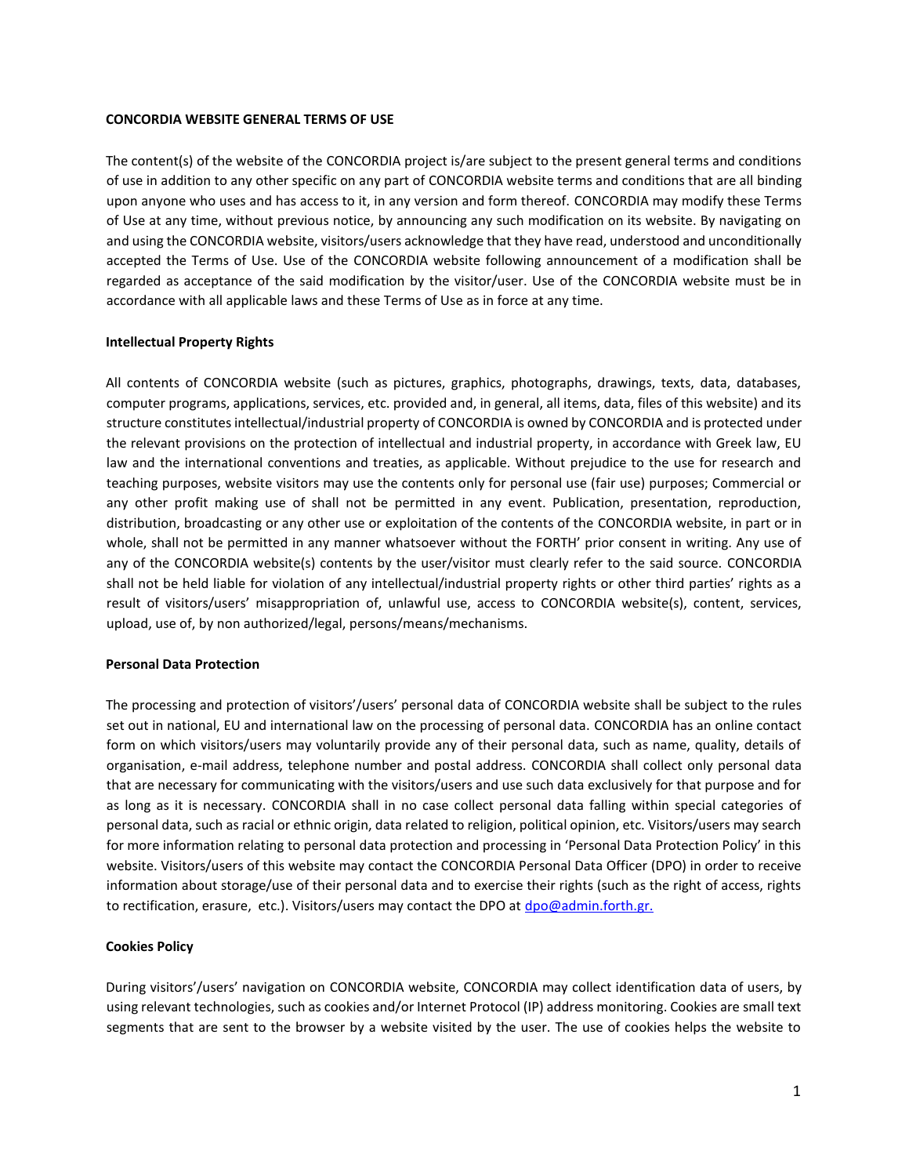#### **CONCORDIA WEBSITE GENERAL TERMS OF USE**

The content(s) of the website of the CONCORDIA project is/are subject to the present general terms and conditions of use in addition to any other specific on any part of CONCORDIA website terms and conditions that are all binding upon anyone who uses and has access to it, in any version and form thereof. CONCORDIA may modify these Terms of Use at any time, without previous notice, by announcing any such modification on its website. By navigating on and using the CONCORDIA website, visitors/users acknowledge that they have read, understood and unconditionally accepted the Terms of Use. Use of the CONCORDIA website following announcement of a modification shall be regarded as acceptance of the said modification by the visitor/user. Use of the CONCORDIA website must be in accordance with all applicable laws and these Terms of Use as in force at any time.

## **Intellectual Property Rights**

All contents of CONCORDIA website (such as pictures, graphics, photographs, drawings, texts, data, databases, computer programs, applications, services, etc. provided and, in general, all items, data, files of this website) and its structure constitutes intellectual/industrial property of CONCORDIA is owned by CONCORDIA and is protected under the relevant provisions on the protection of intellectual and industrial property, in accordance with Greek law, EU law and the international conventions and treaties, as applicable. Without prejudice to the use for research and teaching purposes, website visitors may use the contents only for personal use (fair use) purposes; Commercial or any other profit making use of shall not be permitted in any event. Publication, presentation, reproduction, distribution, broadcasting or any other use or exploitation of the contents of the CONCORDIA website, in part or in whole, shall not be permitted in any manner whatsoever without the FORTH' prior consent in writing. Any use of any of the CONCORDIA website(s) contents by the user/visitor must clearly refer to the said source. CONCORDIA shall not be held liable for violation of any intellectual/industrial property rights or other third parties' rights as a result of visitors/users' misappropriation of, unlawful use, access to CONCORDIA website(s), content, services, upload, use of, by non authorized/legal, persons/means/mechanisms.

#### **Personal Data Protection**

The processing and protection of visitors'/users' personal data of CONCORDIA website shall be subject to the rules set out in national, EU and international law on the processing of personal data. CONCORDIA has an online contact form on which visitors/users may voluntarily provide any of their personal data, such as name, quality, details of organisation, e-mail address, telephone number and postal address. CONCORDIA shall collect only personal data that are necessary for communicating with the visitors/users and use such data exclusively for that purpose and for as long as it is necessary. CONCORDIA shall in no case collect personal data falling within special categories of personal data, such as racial or ethnic origin, data related to religion, political opinion, etc. Visitors/users may search for more information relating to personal data protection and processing in 'Personal Data Protection Policy' in this website. Visitors/users of this website may contact the CONCORDIA Personal Data Officer (DPO) in order to receive information about storage/use of their personal data and to exercise their rights (such as the right of access, rights to rectification, erasure, etc.). Visitors/users may contact the DPO at dpo@admin.forth.gr.

# **Cookies Policy**

During visitors'/users' navigation on CONCORDIA website, CONCORDIA may collect identification data of users, by using relevant technologies, such as cookies and/or Internet Protocol (IP) address monitoring. Cookies are small text segments that are sent to the browser by a website visited by the user. The use of cookies helps the website to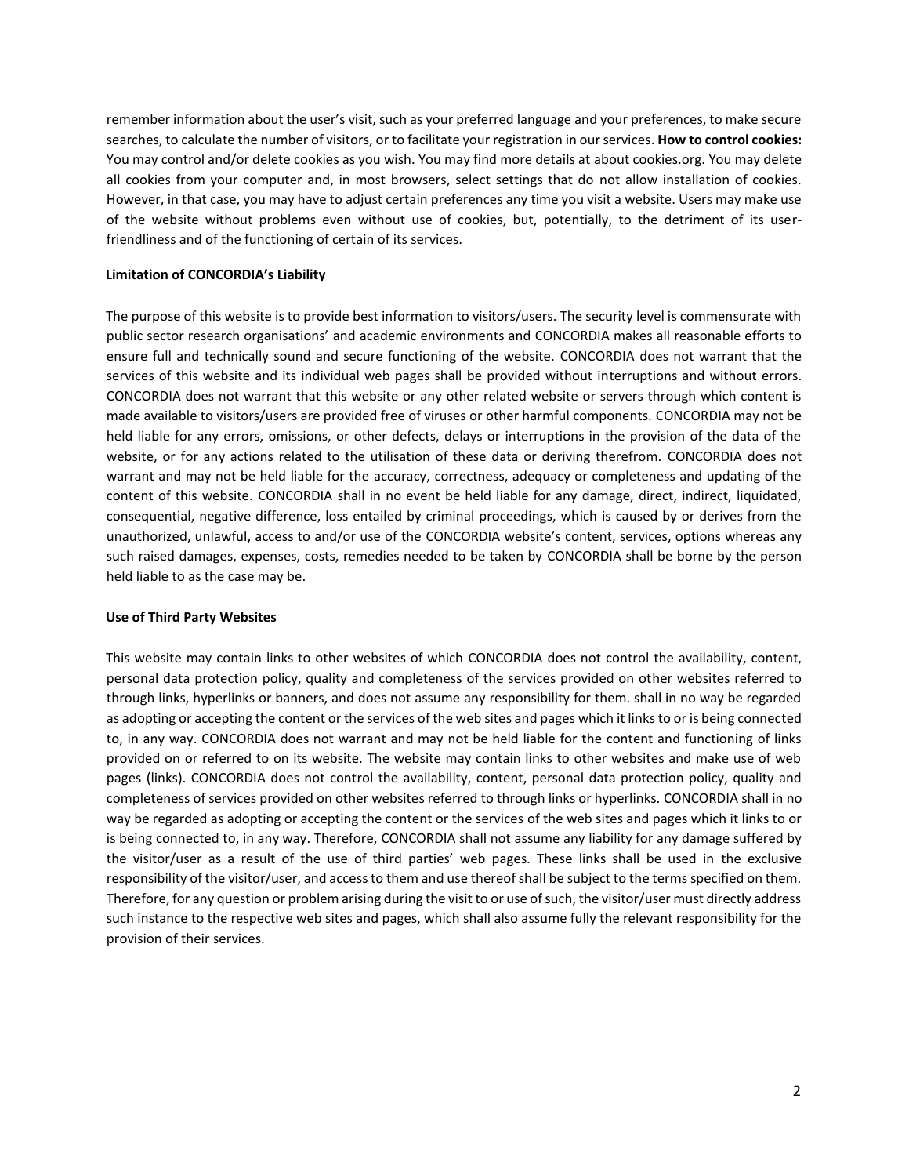remember information about the user's visit, such as your preferred language and your preferences, to make secure searches, to calculate the number of visitors, or to facilitate your registration in our services. **How to control cookies:**  You may control and/or delete cookies as you wish. You may find more details at [about](http://www.aboutcookies.org/) [cookies.org.](http://www.aboutcookies.org/) You may delete all cookies from your computer and, in most browsers, select settings that do not allow installation of cookies. However, in that case, you may have to adjust certain preferences any time you visit a website. Users may make use of the website without problems even without use of cookies, but, potentially, to the detriment of its userfriendliness and of the functioning of certain of its services.

## **Limitation of CONCORDIA's Liability**

The purpose of this website is to provide best information to visitors/users. The security level is commensurate with public sector research organisations' and academic environments and CONCORDIA makes all reasonable efforts to ensure full and technically sound and secure functioning of the website. CONCORDIA does not warrant that the services of this website and its individual web pages shall be provided without interruptions and without errors. CONCORDIA does not warrant that this website or any other related website or servers through which content is made available to visitors/users are provided free of viruses or other harmful components. CONCORDIA may not be held liable for any errors, omissions, or other defects, delays or interruptions in the provision of the data of the website, or for any actions related to the utilisation of these data or deriving therefrom. CONCORDIA does not warrant and may not be held liable for the accuracy, correctness, adequacy or completeness and updating of the content of this website. CONCORDIA shall in no event be held liable for any damage, direct, indirect, liquidated, consequential, negative difference, loss entailed by criminal proceedings, which is caused by or derives from the unauthorized, unlawful, access to and/or use of the CONCORDIA website's content, services, options whereas any such raised damages, expenses, costs, remedies needed to be taken by CONCORDIA shall be borne by the person held liable to as the case may be.

#### **Use of Third Party Websites**

This website may contain links to other websites of which CONCORDIA does not control the availability, content, personal data protection policy, quality and completeness of the services provided on other websites referred to through links, hyperlinks or banners, and does not assume any responsibility for them. shall in no way be regarded as adopting or accepting the content or the services of the web sites and pages which it links to or is being connected to, in any way. CONCORDIA does not warrant and may not be held liable for the content and functioning of links provided on or referred to on its website. The website may contain links to other websites and make use of web pages (links). CONCORDIA does not control the availability, content, personal data protection policy, quality and completeness of services provided on other websites referred to through links or hyperlinks. CONCORDIA shall in no way be regarded as adopting or accepting the content or the services of the web sites and pages which it links to or is being connected to, in any way. Therefore, CONCORDIA shall not assume any liability for any damage suffered by the visitor/user as a result of the use of third parties' web pages. These links shall be used in the exclusive responsibility of the visitor/user, and access to them and use thereof shall be subject to the terms specified on them. Therefore, for any question or problem arising during the visit to or use of such, the visitor/user must directly address such instance to the respective web sites and pages, which shall also assume fully the relevant responsibility for the provision of their services.